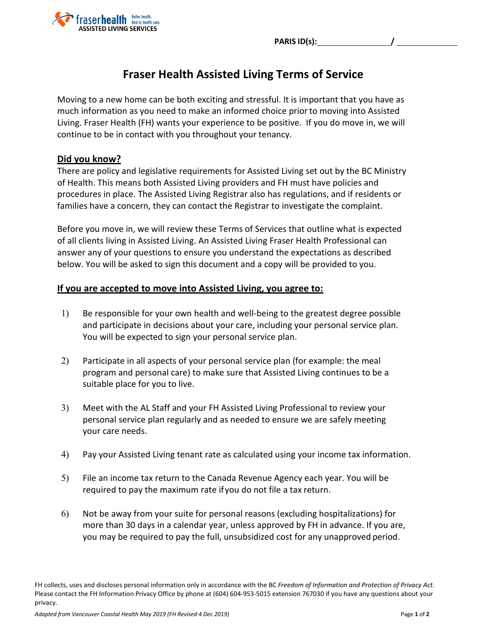**PARIS ID(s): /** 



## **Fraser Health Assisted Living Terms of Service**

Moving to a new home can be both exciting and stressful. It is important that you have as much information as you need to make an informed choice priorto moving into Assisted Living. Fraser Health (FH) wants your experience to be positive. If you do move in, we will continue to be in contact with you throughout your tenancy.

## **Did you know?**

There are policy and legislative requirements for Assisted Living set out by the BC Ministry of Health. This means both Assisted Living providers and FH must have policies and procedures in place. The Assisted Living Registrar also has regulations, and if residents or families have a concern, they can contact the Registrar to investigate the complaint.

Before you move in, we will review these Terms of Services that outline what is expected of all clients living in Assisted Living. An Assisted Living Fraser Health Professional can answer any of your questions to ensure you understand the expectations as described below. You will be asked to sign this document and a copy will be provided to you.

## **If you are accepted to move into Assisted Living, you agree to:**

- 1) Be responsible for your own health and well-being to the greatest degree possible and participate in decisions about your care, including your personal service plan. You will be expected to sign your personal service plan.
- 2) Participate in all aspects of your personal service plan (for example: the meal program and personal care) to make sure that Assisted Living continues to be a suitable place for you to live.
- 3) Meet with the AL Staff and your FH Assisted Living Professional to review your personal service plan regularly and as needed to ensure we are safely meeting your care needs.
- 4) Pay your Assisted Living tenant rate as calculated using your income tax information.
- 5) File an income tax return to the Canada Revenue Agency each year. You will be required to pay the maximum rate ifyou do not file a tax return.
- 6) Not be away from your suite for personal reasons (excluding hospitalizations) for more than 30 days in a calendar year, unless approved by FH in advance. If you are, you may be required to pay the full, unsubsidized cost for any unapproved period.

FH collects, uses and discloses personal information only in accordance with the BC *Freedom of Information and Protection of Privacy Act*. Please contact the FH Information Privacy Office by phone at (604) 604-953-5015 extension 767030 if you have any questions about your privacy.